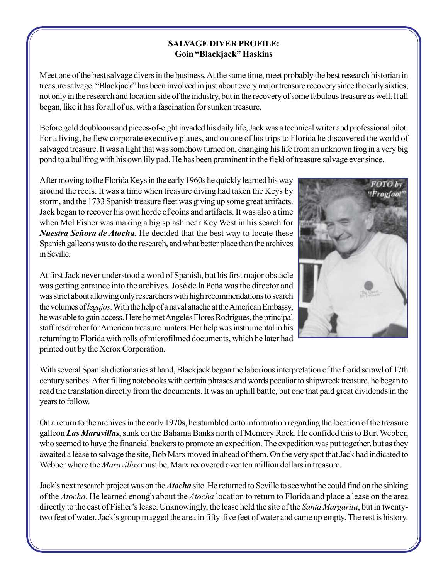## **SALVAGE DIVER PROFILE: Goin "Blackjack" Haskins**

Meet one of the best salvage divers in the business. At the same time, meet probably the best research historian in treasure salvage. "Blackjack" has been involved in just about every major treasure recovery since the early sixties, not only in the research and location side of the industry, but in the recovery of some fabulous treasure as well. It all began, like it has for all of us, with a fascination for sunken treasure.

Before gold doubloons and pieces-of-eight invaded his daily life, Jack was a technical writer and professional pilot. For a living, he flew corporate executive planes, and on one of his trips to Florida he discovered the world of salvaged treasure. It was a light that was somehow turned on, changing his life from an unknown frog in a very big pond to a bullfrog with his own lily pad. He has been prominent in the field of treasure salvage ever since.

After moving to the Florida Keys in the early 1960s he quickly learned his way around the reefs. It was a time when treasure diving had taken the Keys by storm, and the 1733 Spanish treasure fleet was giving up some great artifacts. Jack began to recover his own horde of coins and artifacts. It was also a time when Mel Fisher was making a big splash near Key West in his search for *Nuestra Señora de Atocha*. He decided that the best way to locate these Spanish galleons was to do the research, and what better place than the archives in Seville.



At first Jack never understood a word of Spanish, but his first major obstacle was getting entrance into the archives. José de la Peña was the director and was strict about allowing only researchers with high recommendations to search the volumes of *legajos*. With the help of a naval attache at the American Embassy, he was able to gain access. Here he met Angeles Flores Rodrigues, the principal staff researcher for American treasure hunters. Her help was instrumental in his returning to Florida with rolls of microfilmed documents, which he later had printed out by the Xerox Corporation.

With several Spanish dictionaries at hand, Blackjack began the laborious interpretation of the florid scrawl of 17th century scribes. After filling notebooks with certain phrases and words peculiar to shipwreck treasure, he began to read the translation directly from the documents. It was an uphill battle, but one that paid great dividends in the years to follow.

On a return to the archives in the early 1970s, he stumbled onto information regarding the location of the treasure galleon *Las Maravillas*, sunk on the Bahama Banks north of Memory Rock. He confided this to Burt Webber, who seemed to have the financial backers to promote an expedition. The expedition was put together, but as they awaited a lease to salvage the site, Bob Marx moved in ahead of them. On the very spot that Jack had indicated to Webber where the *Maravillas* must be, Marx recovered over ten million dollars in treasure.

Jack's next research project was on the *Atocha* site. He returned to Seville to see what he could find on the sinking of the *Atocha*. He learned enough about the *Atocha* location to return to Florida and place a lease on the area directly to the east of Fisher's lease. Unknowingly, the lease held the site of the *Santa Margarita*, but in twentytwo feet of water. Jack's group magged the area in fifty-five feet of water and came up empty. The rest is history.